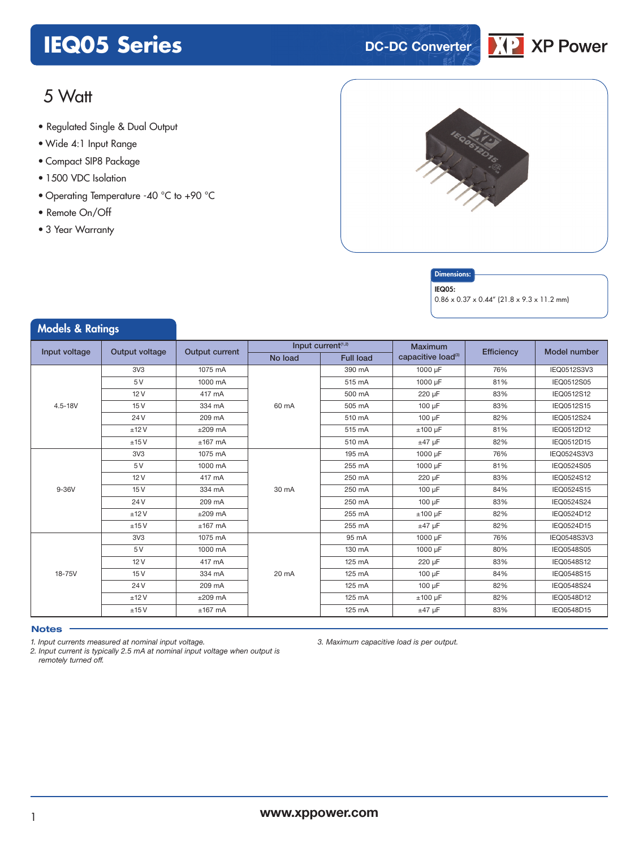## **IEQ05 Series DC-DC Converter**



## 5 Watt

- **xxx Series** Regulated Single & Dual Output
- Wide 4:1 Input Range
- Compact SIP8 Package
- 1500 VDC Isolation
- Operating Temperature -40 °C to +90 °C
- Remote On/Off
- 3 Year Warranty

Models & Ratings



### **Dimensions**

#### IEQ05:

0.86 x 0.37 x 0.44" (21.8 x 9.3 x 11.2 mm)

|               |                |                       | Input current <sup>(1,2)</sup> |                  | Maximum                        |            | Model number |
|---------------|----------------|-----------------------|--------------------------------|------------------|--------------------------------|------------|--------------|
| Input voltage | Output voltage | <b>Output current</b> | No load                        | <b>Full load</b> | capacitive load <sup>(3)</sup> | Efficiency |              |
|               | 3V3            | 1075 mA               |                                | 390 mA           | 1000 µF                        | 76%        | IEQ0512S3V3  |
|               | 5 V            | 1000 mA               |                                | 515 mA           | 1000 µF                        | 81%        | IEQ0512S05   |
|               | 12V            | 417 mA                |                                | 500 mA           | 220 µF                         | 83%        | IEQ0512S12   |
| $4.5 - 18V$   | 15V            | 334 mA                | 60 mA                          | 505 mA           | 100 µF                         | 83%        | IEQ0512S15   |
|               | 24 V           | 209 mA                |                                | 510 mA           | 100 µF                         | 82%        | IEQ0512S24   |
|               | ±12V           | $±209$ mA             |                                | 515 mA           | $±100 \mu F$                   | 81%        | IEQ0512D12   |
|               | ±15V           | $±167$ mA             |                                | 510 mA           | $±47$ µF                       | 82%        | IEQ0512D15   |
|               | 3V3            | 1075 mA               |                                | 195 mA           | 1000 µF                        | 76%        | IEQ0524S3V3  |
|               | 5 V            | 1000 mA               |                                | 255 mA           | 1000 µF                        | 81%        | IEQ0524S05   |
|               | 12V            | 417 mA                | 30 mA                          | 250 mA           | 220 µF                         | 83%        | IEQ0524S12   |
| 9-36V         | 15V            | 334 mA                |                                | 250 mA           | 100 µF                         | 84%        | IEQ0524S15   |
|               | 24 V           | 209 mA                |                                | 250 mA           | 100 µF                         | 83%        | IEQ0524S24   |
|               | ±12V           | $±209$ mA             |                                | 255 mA           | $±100 \mu F$                   | 82%        | IEQ0524D12   |
|               | ±15V           | $±167$ mA             |                                | 255 mA           | $±47$ µF                       | 82%        | IEQ0524D15   |
|               | 3V3            | 1075 mA               |                                | 95 mA            | 1000 µF                        | 76%        | IEQ0548S3V3  |
|               | 5 V            | 1000 mA               |                                | 130 mA           | 1000 µF                        | 80%        | IEQ0548S05   |
|               | 12V            | 417 mA                |                                | 125 mA           | 220 uF                         | 83%        | IEQ0548S12   |
| 18-75V        | 15V            | 334 mA                | 20 mA                          | 125 mA           | 100 uF                         | 84%        | IEQ0548S15   |
|               | 24 V           | 209 mA                |                                | 125 mA           | 100 µF                         | 82%        | IEQ0548S24   |
|               | ±12V           | $±209$ mA             |                                | 125 mA           | $±100 \mu F$                   | 82%        | IEQ0548D12   |
|               | ±15V           | $±167$ mA             |                                | 125 mA           | $±47$ µF                       | 83%        | IEQ0548D15   |

#### **Notes**

*1. Input currents measured at nominal input voltage.*

*2. Input current is typically 2.5 mA at nominal input voltage when output is remotely turned off.*

*3. Maximum capacitive load is per output.*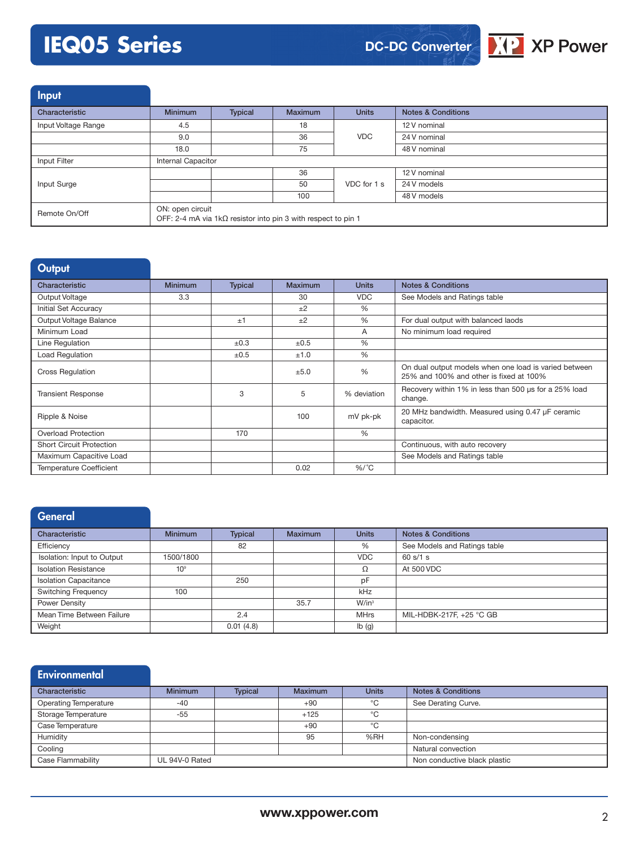# **IEQ05 Series**



Input

| Characteristic      | <b>Minimum</b>                                                                            | Typical | <b>Maximum</b> | <b>Units</b> | <b>Notes &amp; Conditions</b> |  |
|---------------------|-------------------------------------------------------------------------------------------|---------|----------------|--------------|-------------------------------|--|
| Input Voltage Range | 4.5                                                                                       |         | 18             |              | 12 V nominal                  |  |
|                     | 9.0                                                                                       |         | 36             | <b>VDC</b>   | 24 V nominal                  |  |
|                     | 18.0                                                                                      |         | 75             |              | 48 V nominal                  |  |
| Input Filter        | <b>Internal Capacitor</b>                                                                 |         |                |              |                               |  |
|                     |                                                                                           |         | 36             |              | 12 V nominal                  |  |
| Input Surge         |                                                                                           |         | 50             | VDC for 1 s  | 24 V models                   |  |
|                     |                                                                                           |         | 100            |              | 48 V models                   |  |
| Remote On/Off       | ON: open circuit<br>OFF: 2-4 mA via 1k $\Omega$ resistor into pin 3 with respect to pin 1 |         |                |              |                               |  |

| Output                          |                |                |         |               |                                                                                                  |
|---------------------------------|----------------|----------------|---------|---------------|--------------------------------------------------------------------------------------------------|
| Characteristic                  | <b>Minimum</b> | <b>Typical</b> | Maximum | <b>Units</b>  | <b>Notes &amp; Conditions</b>                                                                    |
| Output Voltage                  | 3.3            |                | 30      | <b>VDC</b>    | See Models and Ratings table                                                                     |
| Initial Set Accuracy            |                |                | ±2      | $\frac{0}{0}$ |                                                                                                  |
| Output Voltage Balance          |                | ±1             | $+2$    | $\frac{0}{0}$ | For dual output with balanced laods                                                              |
| Minimum Load                    |                |                |         | A             | No minimum load required                                                                         |
| Line Regulation                 |                | ±0.3           | ±0.5    | $\frac{0}{0}$ |                                                                                                  |
| Load Regulation                 |                | $\pm 0.5$      | ±1.0    | $\frac{0}{0}$ |                                                                                                  |
| <b>Cross Regulation</b>         |                |                | ±5.0    | $\frac{0}{0}$ | On dual output models when one load is varied between<br>25% and 100% and other is fixed at 100% |
| <b>Transient Response</b>       |                | 3              | 5       | % deviation   | Recovery within 1% in less than 500 us for a 25% load<br>change.                                 |
| Ripple & Noise                  |                |                | 100     | mV pk-pk      | 20 MHz bandwidth. Measured using 0.47 µF ceramic<br>capacitor.                                   |
| <b>Overload Protection</b>      |                | 170            |         | $\frac{0}{0}$ |                                                                                                  |
| <b>Short Circuit Protection</b> |                |                |         |               | Continuous, with auto recovery                                                                   |
| Maximum Capacitive Load         |                |                |         |               | See Models and Ratings table                                                                     |
| <b>Temperature Coefficient</b>  |                |                | 0.02    | $%$ /°C       |                                                                                                  |

## **General**

| Characteristic               | <b>Minimum</b>  | Typical   | <b>Maximum</b> | <b>Units</b>      | <b>Notes &amp; Conditions</b> |
|------------------------------|-----------------|-----------|----------------|-------------------|-------------------------------|
| Efficiency                   |                 | 82        |                | %                 | See Models and Ratings table  |
| Isolation: Input to Output   | 1500/1800       |           |                | <b>VDC</b>        | 60 s/1 s                      |
| <b>Isolation Resistance</b>  | 10 <sup>9</sup> |           |                | Ω                 | At 500 VDC                    |
| <b>Isolation Capacitance</b> |                 | 250       |                | pF                |                               |
| <b>Switching Frequency</b>   | 100             |           |                | kHz               |                               |
| Power Density                |                 |           | 35.7           | $W/in^3$          |                               |
| Mean Time Between Failure    |                 | 2.4       |                | <b>MHrs</b>       | MIL-HDBK-217F, +25 °C GB      |
| Weight                       |                 | 0.01(4.8) |                | $I\mathsf{b}$ (g) |                               |

| Environmental                |                |                |                |              |                               |
|------------------------------|----------------|----------------|----------------|--------------|-------------------------------|
| Characteristic               | <b>Minimum</b> | <b>Typical</b> | <b>Maximum</b> | <b>Units</b> | <b>Notes &amp; Conditions</b> |
| <b>Operating Temperature</b> | $-40$          |                | $+90$          | °C           | See Derating Curve.           |
| Storage Temperature          | $-55$          |                | $+125$         | °C           |                               |
| Case Temperature             |                |                | $+90$          | °C           |                               |
| Humidity                     |                |                | 95             | %RH          | Non-condensing                |
| Cooling                      |                |                |                |              | Natural convection            |
| Case Flammability            | UL 94V-0 Rated |                |                |              | Non conductive black plastic  |